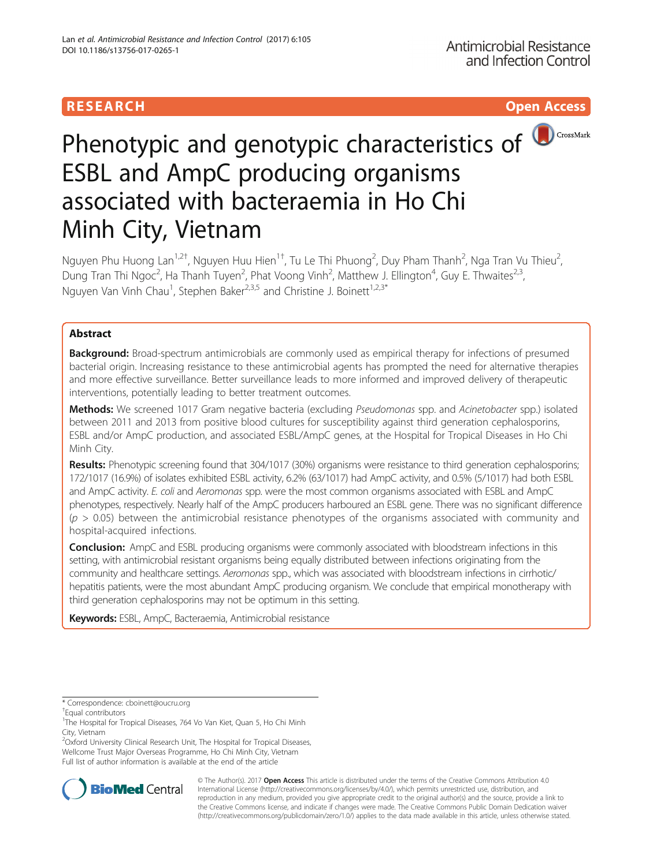# **RESEARCH CHE Open Access**



# Phenotypic and genotypic characteristics of **D**CrossMark ESBL and AmpC producing organisms associated with bacteraemia in Ho Chi Minh City, Vietnam

Nguyen Phu Huong Lan<sup>1,2†</sup>, Nguyen Huu Hien<sup>1†</sup>, Tu Le Thi Phuong<sup>2</sup>, Duy Pham Thanh<sup>2</sup>, Nga Tran Vu Thieu<sup>2</sup> .<br>, Dung Tran Thi Ngoc<sup>2</sup>, Ha Thanh Tuyen<sup>2</sup>, Phat Voong Vinh<sup>2</sup>, Matthew J. Ellington<sup>4</sup>, Guy E. Thwaites<sup>2,3</sup>, Nguyen Van Vinh Chau<sup>1</sup>, Stephen Baker<sup>2,3,5</sup> and Christine J. Boinett<sup>1,2,3\*</sup>

# Abstract

**Background:** Broad-spectrum antimicrobials are commonly used as empirical therapy for infections of presumed bacterial origin. Increasing resistance to these antimicrobial agents has prompted the need for alternative therapies and more effective surveillance. Better surveillance leads to more informed and improved delivery of therapeutic interventions, potentially leading to better treatment outcomes.

Methods: We screened 1017 Gram negative bacteria (excluding Pseudomonas spp. and Acinetobacter spp.) isolated between 2011 and 2013 from positive blood cultures for susceptibility against third generation cephalosporins, ESBL and/or AmpC production, and associated ESBL/AmpC genes, at the Hospital for Tropical Diseases in Ho Chi Minh City.

Results: Phenotypic screening found that 304/1017 (30%) organisms were resistance to third generation cephalosporins; 172/1017 (16.9%) of isolates exhibited ESBL activity, 6.2% (63/1017) had AmpC activity, and 0.5% (5/1017) had both ESBL and AmpC activity. E. coli and Aeromonas spp. were the most common organisms associated with ESBL and AmpC phenotypes, respectively. Nearly half of the AmpC producers harboured an ESBL gene. There was no significant difference  $(p > 0.05)$  between the antimicrobial resistance phenotypes of the organisms associated with community and hospital-acquired infections.

**Conclusion:** AmpC and ESBL producing organisms were commonly associated with bloodstream infections in this setting, with antimicrobial resistant organisms being equally distributed between infections originating from the community and healthcare settings. Aeromonas spp., which was associated with bloodstream infections in cirrhotic/ hepatitis patients, were the most abundant AmpC producing organism. We conclude that empirical monotherapy with third generation cephalosporins may not be optimum in this setting.

Keywords: ESBL, AmpC, Bacteraemia, Antimicrobial resistance

<sup>2</sup>Oxford University Clinical Research Unit, The Hospital for Tropical Diseases, Wellcome Trust Major Overseas Programme, Ho Chi Minh City, Vietnam Full list of author information is available at the end of the article



© The Author(s). 2017 **Open Access** This article is distributed under the terms of the Creative Commons Attribution 4.0 International License [\(http://creativecommons.org/licenses/by/4.0/](http://creativecommons.org/licenses/by/4.0/)), which permits unrestricted use, distribution, and reproduction in any medium, provided you give appropriate credit to the original author(s) and the source, provide a link to the Creative Commons license, and indicate if changes were made. The Creative Commons Public Domain Dedication waiver [\(http://creativecommons.org/publicdomain/zero/1.0/](http://creativecommons.org/publicdomain/zero/1.0/)) applies to the data made available in this article, unless otherwise stated.

<sup>\*</sup> Correspondence: [cboinett@oucru.org](mailto:cboinett@oucru.org) †

Equal contributors

<sup>&</sup>lt;sup>1</sup>The Hospital for Tropical Diseases, 764 Vo Van Kiet, Quan 5, Ho Chi Minh City, Vietnam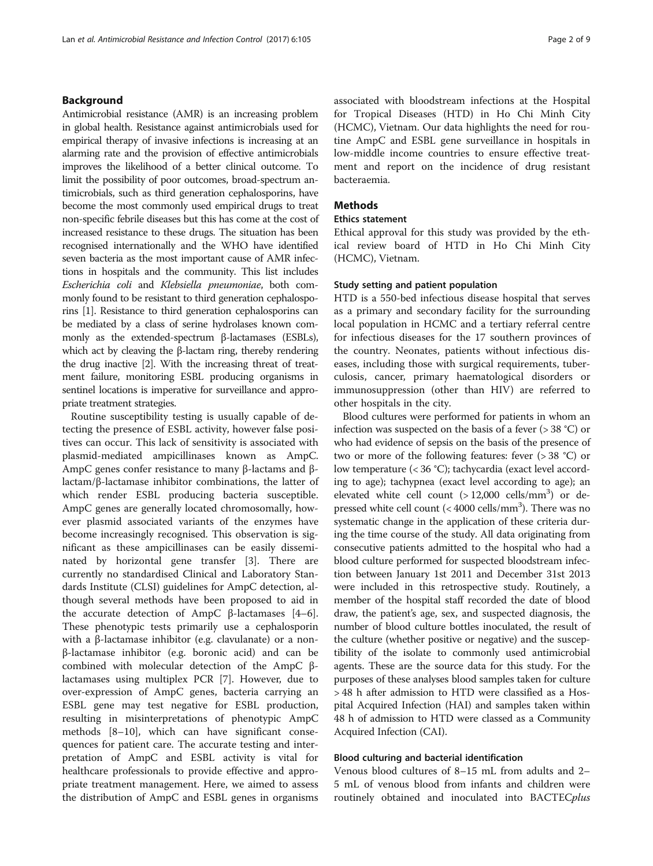# Background

Antimicrobial resistance (AMR) is an increasing problem in global health. Resistance against antimicrobials used for empirical therapy of invasive infections is increasing at an alarming rate and the provision of effective antimicrobials improves the likelihood of a better clinical outcome. To limit the possibility of poor outcomes, broad-spectrum antimicrobials, such as third generation cephalosporins, have become the most commonly used empirical drugs to treat non-specific febrile diseases but this has come at the cost of increased resistance to these drugs. The situation has been recognised internationally and the WHO have identified seven bacteria as the most important cause of AMR infections in hospitals and the community. This list includes Escherichia coli and Klebsiella pneumoniae, both commonly found to be resistant to third generation cephalosporins [\[1\]](#page-7-0). Resistance to third generation cephalosporins can be mediated by a class of serine hydrolases known commonly as the extended-spectrum β-lactamases (ESBLs), which act by cleaving the β-lactam ring, thereby rendering the drug inactive [\[2](#page-7-0)]. With the increasing threat of treatment failure, monitoring ESBL producing organisms in sentinel locations is imperative for surveillance and appropriate treatment strategies.

Routine susceptibility testing is usually capable of detecting the presence of ESBL activity, however false positives can occur. This lack of sensitivity is associated with plasmid-mediated ampicillinases known as AmpC. AmpC genes confer resistance to many β-lactams and βlactam/β-lactamase inhibitor combinations, the latter of which render ESBL producing bacteria susceptible. AmpC genes are generally located chromosomally, however plasmid associated variants of the enzymes have become increasingly recognised. This observation is significant as these ampicillinases can be easily disseminated by horizontal gene transfer [[3](#page-7-0)]. There are currently no standardised Clinical and Laboratory Standards Institute (CLSI) guidelines for AmpC detection, although several methods have been proposed to aid in the accurate detection of AmpC β-lactamases  $[4-6]$  $[4-6]$  $[4-6]$  $[4-6]$ . These phenotypic tests primarily use a cephalosporin with a β-lactamase inhibitor (e.g. clavulanate) or a nonβ-lactamase inhibitor (e.g. boronic acid) and can be combined with molecular detection of the AmpC βlactamases using multiplex PCR [\[7](#page-7-0)]. However, due to over-expression of AmpC genes, bacteria carrying an ESBL gene may test negative for ESBL production, resulting in misinterpretations of phenotypic AmpC methods [\[8](#page-7-0)–[10](#page-7-0)], which can have significant consequences for patient care. The accurate testing and interpretation of AmpC and ESBL activity is vital for healthcare professionals to provide effective and appropriate treatment management. Here, we aimed to assess the distribution of AmpC and ESBL genes in organisms associated with bloodstream infections at the Hospital for Tropical Diseases (HTD) in Ho Chi Minh City (HCMC), Vietnam. Our data highlights the need for routine AmpC and ESBL gene surveillance in hospitals in low-middle income countries to ensure effective treatment and report on the incidence of drug resistant bacteraemia.

## **Methods**

# Ethics statement

Ethical approval for this study was provided by the ethical review board of HTD in Ho Chi Minh City (HCMC), Vietnam.

## Study setting and patient population

HTD is a 550-bed infectious disease hospital that serves as a primary and secondary facility for the surrounding local population in HCMC and a tertiary referral centre for infectious diseases for the 17 southern provinces of the country. Neonates, patients without infectious diseases, including those with surgical requirements, tuberculosis, cancer, primary haematological disorders or immunosuppression (other than HIV) are referred to other hospitals in the city.

Blood cultures were performed for patients in whom an infection was suspected on the basis of a fever (> 38 °C) or who had evidence of sepsis on the basis of the presence of two or more of the following features: fever (> 38 °C) or low temperature (< 36 °C); tachycardia (exact level according to age); tachypnea (exact level according to age); an elevated white cell count  $(>12,000 \text{ cells/mm}^3)$  or depressed white cell count (< 4000 cells/mm<sup>3</sup>). There was no systematic change in the application of these criteria during the time course of the study. All data originating from consecutive patients admitted to the hospital who had a blood culture performed for suspected bloodstream infection between January 1st 2011 and December 31st 2013 were included in this retrospective study. Routinely, a member of the hospital staff recorded the date of blood draw, the patient's age, sex, and suspected diagnosis, the number of blood culture bottles inoculated, the result of the culture (whether positive or negative) and the susceptibility of the isolate to commonly used antimicrobial agents. These are the source data for this study. For the purposes of these analyses blood samples taken for culture > 48 h after admission to HTD were classified as a Hospital Acquired Infection (HAI) and samples taken within 48 h of admission to HTD were classed as a Community Acquired Infection (CAI).

## Blood culturing and bacterial identification

Venous blood cultures of 8–15 mL from adults and 2– 5 mL of venous blood from infants and children were routinely obtained and inoculated into BACTECplus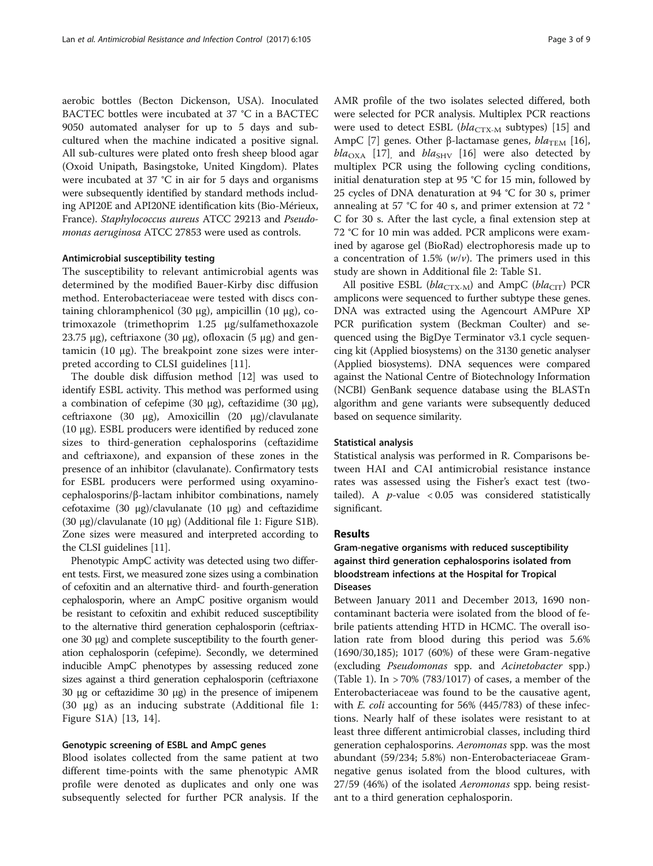aerobic bottles (Becton Dickenson, USA). Inoculated BACTEC bottles were incubated at 37 °C in a BACTEC 9050 automated analyser for up to 5 days and subcultured when the machine indicated a positive signal. All sub-cultures were plated onto fresh sheep blood agar (Oxoid Unipath, Basingstoke, United Kingdom). Plates were incubated at 37 °C in air for 5 days and organisms were subsequently identified by standard methods including API20E and API20NE identification kits (Bio-Mérieux, France). Staphylococcus aureus ATCC 29213 and Pseudomonas aeruginosa ATCC 27853 were used as controls.

## Antimicrobial susceptibility testing

The susceptibility to relevant antimicrobial agents was determined by the modified Bauer-Kirby disc diffusion method. Enterobacteriaceae were tested with discs containing chloramphenicol (30 μg), ampicillin (10 μg), cotrimoxazole (trimethoprim 1.25 μg/sulfamethoxazole 23.75 μg), ceftriaxone (30 μg), ofloxacin (5 μg) and gentamicin (10 μg). The breakpoint zone sizes were interpreted according to CLSI guidelines [\[11](#page-7-0)].

The double disk diffusion method [\[12](#page-7-0)] was used to identify ESBL activity. This method was performed using a combination of cefepime (30 μg), ceftazidime (30 μg), ceftriaxone (30 μg), Amoxicillin (20 μg)/clavulanate (10 μg). ESBL producers were identified by reduced zone sizes to third-generation cephalosporins (ceftazidime and ceftriaxone), and expansion of these zones in the presence of an inhibitor (clavulanate). Confirmatory tests for ESBL producers were performed using oxyaminocephalosporins/β-lactam inhibitor combinations, namely cefotaxime (30 μg)/clavulanate (10 μg) and ceftazidime (30 μg)/clavulanate (10 μg) (Additional file [1](#page-7-0): Figure S1B). Zone sizes were measured and interpreted according to the CLSI guidelines [[11](#page-7-0)].

Phenotypic AmpC activity was detected using two different tests. First, we measured zone sizes using a combination of cefoxitin and an alternative third- and fourth-generation cephalosporin, where an AmpC positive organism would be resistant to cefoxitin and exhibit reduced susceptibility to the alternative third generation cephalosporin (ceftriaxone 30 μg) and complete susceptibility to the fourth generation cephalosporin (cefepime). Secondly, we determined inducible AmpC phenotypes by assessing reduced zone sizes against a third generation cephalosporin (ceftriaxone 30 μg or ceftazidime 30 μg) in the presence of imipenem (30 μg) as an inducing substrate (Additional file [1](#page-7-0): Figure S1A) [[13](#page-7-0), [14\]](#page-7-0).

## Genotypic screening of ESBL and AmpC genes

Blood isolates collected from the same patient at two different time-points with the same phenotypic AMR profile were denoted as duplicates and only one was subsequently selected for further PCR analysis. If the AMR profile of the two isolates selected differed, both were selected for PCR analysis. Multiplex PCR reactions were used to detect ESBL ( $bla_{CTX-M}$  subtypes) [[15\]](#page-7-0) and AmpC [[7\]](#page-7-0) genes. Other β-lactamase genes,  $bla_{\text{TEM}}$  [\[16](#page-7-0)],  $bla<sub>OXA</sub>$  [\[17\]](#page-7-0), and  $bla<sub>SHV</sub>$  [[16\]](#page-7-0) were also detected by multiplex PCR using the following cycling conditions, initial denaturation step at 95 °C for 15 min, followed by 25 cycles of DNA denaturation at 94 °C for 30 s, primer annealing at 57 °C for 40 s, and primer extension at 72 ° C for 30 s. After the last cycle, a final extension step at 72 °C for 10 min was added. PCR amplicons were examined by agarose gel (BioRad) electrophoresis made up to a concentration of 1.5%  $(w/v)$ . The primers used in this study are shown in Additional file [2:](#page-7-0) Table S1.

All positive ESBL ( $bla_{\text{CTX-M}}$ ) and AmpC ( $bla_{\text{CTT}}$ ) PCR amplicons were sequenced to further subtype these genes. DNA was extracted using the Agencourt AMPure XP PCR purification system (Beckman Coulter) and sequenced using the BigDye Terminator v3.1 cycle sequencing kit (Applied biosystems) on the 3130 genetic analyser (Applied biosystems). DNA sequences were compared against the National Centre of Biotechnology Information (NCBI) GenBank sequence database using the BLASTn algorithm and gene variants were subsequently deduced based on sequence similarity.

## Statistical analysis

Statistical analysis was performed in R. Comparisons between HAI and CAI antimicrobial resistance instance rates was assessed using the Fisher's exact test (twotailed). A  $p$ -value < 0.05 was considered statistically significant.

## Results

# Gram-negative organisms with reduced susceptibility against third generation cephalosporins isolated from bloodstream infections at the Hospital for Tropical Diseases

Between January 2011 and December 2013, 1690 noncontaminant bacteria were isolated from the blood of febrile patients attending HTD in HCMC. The overall isolation rate from blood during this period was 5.6% (1690/30,185); 1017 (60%) of these were Gram-negative (excluding Pseudomonas spp. and Acinetobacter spp.) (Table [1](#page-3-0)). In > 70% (783/1017) of cases, a member of the Enterobacteriaceae was found to be the causative agent, with *E. coli* accounting for 56% (445/783) of these infections. Nearly half of these isolates were resistant to at least three different antimicrobial classes, including third generation cephalosporins. Aeromonas spp. was the most abundant (59/234; 5.8%) non-Enterobacteriaceae Gramnegative genus isolated from the blood cultures, with 27/59 (46%) of the isolated *Aeromonas* spp. being resistant to a third generation cephalosporin.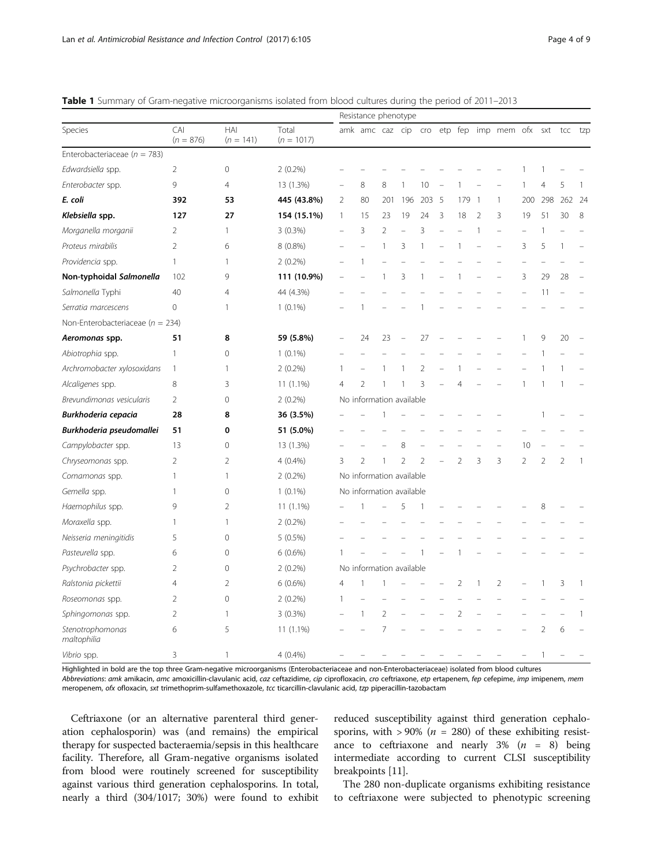<span id="page-3-0"></span>

|  |  |  |  | <b>Table 1</b> Summary of Gram-negative microorganisms isolated from blood cultures during the period of 2011–2013 |
|--|--|--|--|--------------------------------------------------------------------------------------------------------------------|
|  |  |  |  |                                                                                                                    |

|                                      |                    |                    |                       | Resistance phenotype     |                          |                |                |                |     |                |                |                                         |                |                |                |     |
|--------------------------------------|--------------------|--------------------|-----------------------|--------------------------|--------------------------|----------------|----------------|----------------|-----|----------------|----------------|-----------------------------------------|----------------|----------------|----------------|-----|
| Species                              | CAI<br>$(n = 876)$ | HAI<br>$(n = 141)$ | Total<br>$(n = 1017)$ |                          |                          |                |                |                |     |                |                | amk amc caz cip cro etp fep imp mem ofx |                | sxt            | tcc            | tzp |
| Enterobacteriaceae ( $n = 783$ )     |                    |                    |                       |                          |                          |                |                |                |     |                |                |                                         |                |                |                |     |
| Edwardsiella spp.                    | $\overline{2}$     | $\mathbf 0$        | $2(0.2\%)$            |                          |                          |                |                |                |     |                |                |                                         |                |                |                |     |
| Enterobacter spp.                    | 9                  | $\overline{4}$     | 13 (1.3%)             |                          | 8                        | 8              | 1              | 10             |     |                |                |                                         | 1              | $\overline{4}$ | 5              | 1   |
| E. coli                              | 392                | 53                 | 445 (43.8%)           | $\overline{2}$           | 80                       | 201            | 196            | 203            | - 5 | 179            | $\overline{1}$ | 1                                       | 200            | 298            | 262            | -24 |
| Klebsiella spp.                      | 127                | 27                 | 154 (15.1%)           | 1                        | 15                       | 23             | 19             | 24             | 3   | 18             | 2              | 3                                       | 19             | 51             | 30             | 8   |
| Morganella morganii                  | 2                  | $\mathbf{1}$       | $3(0.3\%)$            |                          | 3                        | $\overline{2}$ | L.             | 3              |     |                | 1              |                                         |                | 1              |                |     |
| Proteus mirabilis                    | $\overline{2}$     | 6                  | 8 (0.8%)              |                          |                          | 1              | 3              | 1              |     | 1              |                |                                         | 3              | 5              | 1              |     |
| Providencia spp.                     | 1                  | $\mathbf{1}$       | $2(0.2\%)$            |                          | $\mathbf{1}$             |                |                |                |     |                |                |                                         |                |                |                |     |
| Non-typhoidal Salmonella             | 102                | 9                  | 111 (10.9%)           |                          |                          | 1              | 3              | 1              |     | $\mathbf{1}$   |                |                                         | 3              | 29             | 28             |     |
| Salmonella Typhi                     | 40                 | $\overline{4}$     | 44 (4.3%)             |                          |                          |                |                |                |     |                |                |                                         |                | 11             |                |     |
| Serratia marcescens                  | $\mathbf 0$        | $\mathbf{1}$       | $1(0.1\%)$            |                          |                          |                |                |                |     |                |                |                                         |                |                |                |     |
| Non-Enterobacteriaceae ( $n = 234$ ) |                    |                    |                       |                          |                          |                |                |                |     |                |                |                                         |                |                |                |     |
| Aeromonas spp.                       | 51                 | 8                  | 59 (5.8%)             |                          | 24                       | 23             |                | 27             |     |                |                |                                         | 1              | 9              | 20             |     |
| Abiotrophia spp.                     | 1                  | $\Omega$           | $1(0.1\%)$            |                          |                          |                |                |                |     |                |                |                                         |                |                |                |     |
| Archromobacter xylosoxidans          | $\mathbf{1}$       | $\mathbf{1}$       | $2(0.2\%)$            | 1                        |                          |                | 1              | 2              |     |                |                |                                         |                |                | 1              |     |
| Alcaligenes spp.                     | 8                  | 3                  | 11 (1.1%)             | $\overline{4}$           | $\overline{2}$           | 1              | 1              | 3              |     | 4              |                |                                         | 1              |                | 1              |     |
| Brevundimonas vesicularis            | $\overline{2}$     | $\overline{0}$     | $2(0.2\%)$            | No information available |                          |                |                |                |     |                |                |                                         |                |                |                |     |
| Burkhoderia cepacia                  | 28                 | 8                  | 36 (3.5%)             |                          |                          |                |                |                |     |                |                |                                         |                |                |                |     |
| Burkhoderia pseudomallei             | 51                 | 0                  | 51 (5.0%)             |                          |                          |                |                |                |     |                |                |                                         |                |                |                |     |
| Campylobacter spp.                   | 13                 | $\mathbf 0$        | 13 (1.3%)             |                          |                          |                | 8              |                |     |                |                |                                         | 10             |                |                |     |
| Chryseomonas spp.                    | $\overline{2}$     | $\overline{2}$     | $4(0.4\%)$            | 3                        | $\overline{2}$           | 1              | $\overline{2}$ | $\overline{2}$ |     | $\overline{2}$ | 3              | 3                                       | $\overline{2}$ | $\overline{2}$ | $\overline{2}$ | 1   |
| Comamonas spp.                       | 1                  | 1                  | $2(0.2\%)$            | No information available |                          |                |                |                |     |                |                |                                         |                |                |                |     |
| Gemella spp.                         | 1                  | $\mathbf 0$        | $1(0.1\%)$            | No information available |                          |                |                |                |     |                |                |                                         |                |                |                |     |
| Haemophilus spp.                     | 9                  | $\overline{2}$     | $11(1.1\%)$           |                          | 1                        |                | 5              |                |     |                |                |                                         |                | 8              |                |     |
| Moraxella spp.                       | 1                  | $\mathbf{1}$       | $2(0.2\%)$            |                          |                          |                |                |                |     |                |                |                                         |                |                |                |     |
| Neisseria meningitidis               | 5                  | $\mathbf 0$        | $5(0.5\%)$            |                          |                          |                |                |                |     |                |                |                                         |                |                |                |     |
| Pasteurella spp.                     | 6                  | $\mathbf 0$        | $6(0.6\%)$            |                          |                          |                |                |                |     |                |                |                                         |                |                |                |     |
| Psychrobacter spp.                   | $\overline{2}$     | $\mathbf 0$        | $2(0.2\%)$            |                          | No information available |                |                |                |     |                |                |                                         |                |                |                |     |
| Ralstonia pickettii                  | $\overline{4}$     | 2                  | $6(0.6\%)$            | 4                        |                          |                |                |                |     | 2              |                | $\overline{2}$                          |                |                | 3              | 1   |
| Roseomonas spp.                      | $\overline{2}$     | $\overline{0}$     | $2(0.2\%)$            |                          |                          |                |                |                |     |                |                |                                         |                |                |                |     |
| Sphingomonas spp.                    | $\overline{2}$     | $\mathbf{1}$       | $3(0.3\%)$            |                          | 1                        | 2              |                |                |     | $\overline{2}$ |                |                                         |                |                |                | 1   |
| Stenotrophomonas<br>maltophilia      | 6                  | 5                  | 11 (1.1%)             |                          |                          | 7              |                |                |     |                |                |                                         |                | $\overline{2}$ | 6              |     |
| Vibrio spp.                          | 3                  | 1                  | $4(0.4\%)$            |                          |                          |                |                |                |     |                |                |                                         |                |                |                |     |

Highlighted in bold are the top three Gram-negative microorganisms (Enterobacteriaceae and non-Enterobacteriaceae) isolated from blood cultures

Abbreviations: amk amikacin, amc amoxicillin-clavulanic acid, caz ceftazidime, cip ciprofloxacin, cro ceftriaxone, etp ertapenem, fep cefepime, imp imipenem, mem meropenem, ofx ofloxacin, sxt trimethoprim-sulfamethoxazole, tcc ticarcillin-clavulanic acid, tzp piperacillin-tazobactam

Ceftriaxone (or an alternative parenteral third generation cephalosporin) was (and remains) the empirical therapy for suspected bacteraemia/sepsis in this healthcare facility. Therefore, all Gram-negative organisms isolated from blood were routinely screened for susceptibility against various third generation cephalosporins. In total, nearly a third (304/1017; 30%) were found to exhibit reduced susceptibility against third generation cephalosporins, with  $> 90\%$  ( $n = 280$ ) of these exhibiting resistance to ceftriaxone and nearly  $3\%$   $(n = 8)$  being intermediate according to current CLSI susceptibility breakpoints [\[11\]](#page-7-0).

The 280 non-duplicate organisms exhibiting resistance to ceftriaxone were subjected to phenotypic screening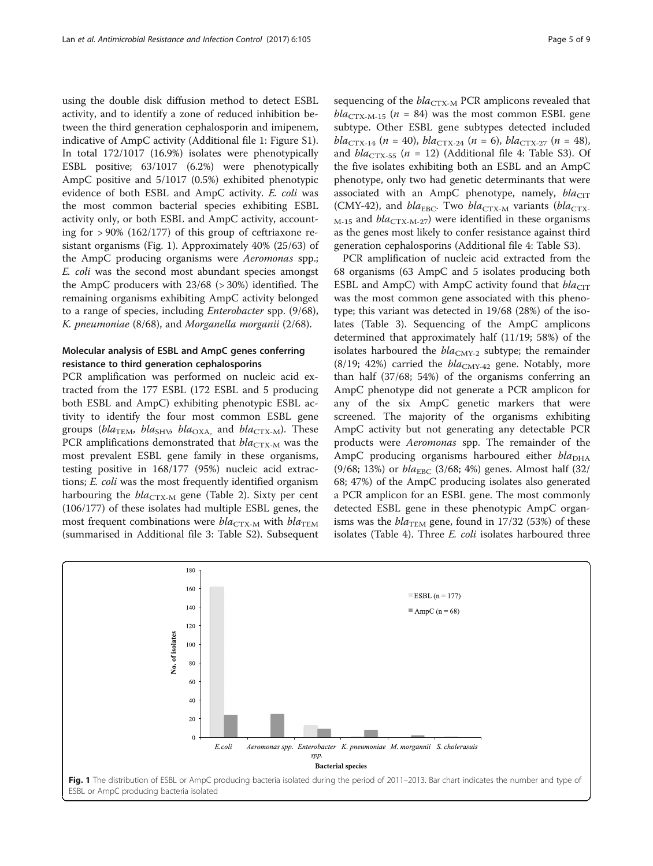using the double disk diffusion method to detect ESBL activity, and to identify a zone of reduced inhibition between the third generation cephalosporin and imipenem, indicative of AmpC activity (Additional file [1](#page-7-0): Figure S1). In total 172/1017 (16.9%) isolates were phenotypically ESBL positive; 63/1017 (6.2%) were phenotypically AmpC positive and 5/1017 (0.5%) exhibited phenotypic evidence of both ESBL and AmpC activity. E. coli was the most common bacterial species exhibiting ESBL activity only, or both ESBL and AmpC activity, accounting for  $> 90\%$  (162/177) of this group of ceftriaxone resistant organisms (Fig. 1). Approximately 40% (25/63) of the AmpC producing organisms were Aeromonas spp.; E. coli was the second most abundant species amongst the AmpC producers with 23/68 (> 30%) identified. The remaining organisms exhibiting AmpC activity belonged to a range of species, including Enterobacter spp. (9/68), K. pneumoniae (8/68), and Morganella morganii (2/68).

# Molecular analysis of ESBL and AmpC genes conferring resistance to third generation cephalosporins

PCR amplification was performed on nucleic acid extracted from the 177 ESBL (172 ESBL and 5 producing both ESBL and AmpC) exhibiting phenotypic ESBL activity to identify the four most common ESBL gene groups (bla<sub>TEM</sub>, bla<sub>SHV</sub>, bla<sub>OXA,</sub> and bla<sub>CTX-M</sub>). These PCR amplifications demonstrated that  $bla_{\text{CTX-M}}$  was the most prevalent ESBL gene family in these organisms, testing positive in 168/177 (95%) nucleic acid extractions; E. coli was the most frequently identified organism harbouring the  $bla_{CTX-M}$  gene (Table [2](#page-5-0)). Sixty per cent (106/177) of these isolates had multiple ESBL genes, the most frequent combinations were  $bla_{CTX-M}$  with  $bla_{TEM}$ (summarised in Additional file [3:](#page-7-0) Table S2). Subsequent sequencing of the  $bla_{CTX-M}$  PCR amplicons revealed that  $bla_{CTX-M-15}$  (n = 84) was the most common ESBL gene subtype. Other ESBL gene subtypes detected included bla<sub>CTX-14</sub> (n = 40), bla<sub>CTX-24</sub> (n = 6), bla<sub>CTX-27</sub> (n = 48), and  $bla_{\text{CTX-55}}$  (n = 12) (Additional file [4:](#page-7-0) Table S3). Of the five isolates exhibiting both an ESBL and an AmpC phenotype, only two had genetic determinants that were associated with an AmpC phenotype, namely,  $bla_{\text{CIT}}$ (CMY-42), and  $bla_{\text{EBC}}$ . Two  $bla_{\text{CTX-M}}$  variants (bla<sub>CTX-</sub>  $_{\text{M-15}}$  and  $bla_{\text{CTX-M-27}}$  were identified in these organisms as the genes most likely to confer resistance against third generation cephalosporins (Additional file [4](#page-7-0): Table S3).

PCR amplification of nucleic acid extracted from the 68 organisms (63 AmpC and 5 isolates producing both ESBL and AmpC) with AmpC activity found that  $bla_{\text{CIT}}$ was the most common gene associated with this phenotype; this variant was detected in 19/68 (28%) of the isolates (Table [3\)](#page-5-0). Sequencing of the AmpC amplicons determined that approximately half (11/19; 58%) of the isolates harboured the  $bla_{CMY-2}$  subtype; the remainder (8/19; 42%) carried the  $bla_{CMY-42}$  gene. Notably, more than half (37/68; 54%) of the organisms conferring an AmpC phenotype did not generate a PCR amplicon for any of the six AmpC genetic markers that were screened. The majority of the organisms exhibiting AmpC activity but not generating any detectable PCR products were Aeromonas spp. The remainder of the AmpC producing organisms harboured either  $bla<sub>DHA</sub>$ (9/68; 13%) or  $bla_{\rm EBC}$  (3/68; 4%) genes. Almost half (32/ 68; 47%) of the AmpC producing isolates also generated a PCR amplicon for an ESBL gene. The most commonly detected ESBL gene in these phenotypic AmpC organisms was the  $bla_{\text{TEM}}$  gene, found in 17/32 (53%) of these isolates (Table [4](#page-5-0)). Three *E. coli* isolates harboured three

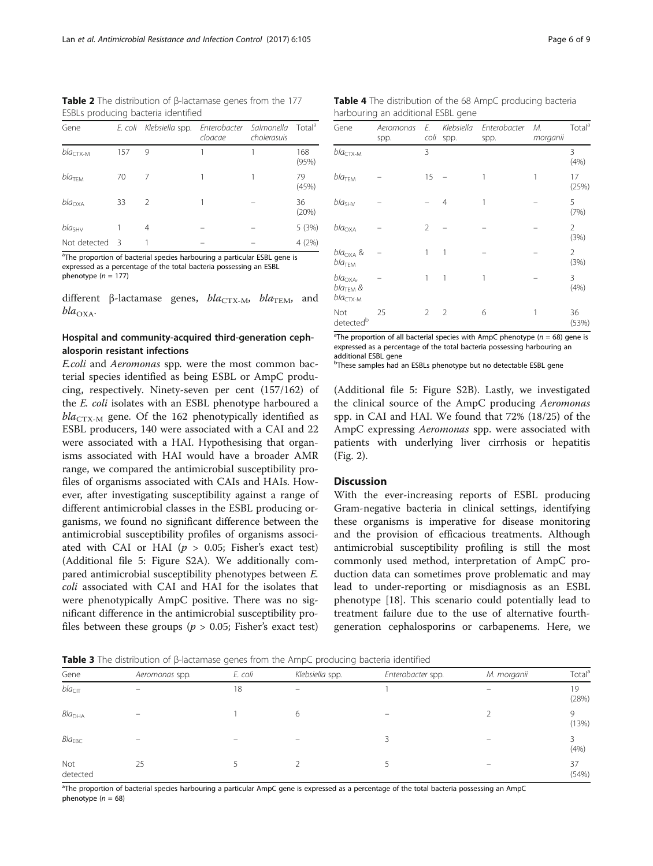<span id="page-5-0"></span>Table 2 The distribution of β-lactamase genes from the 177 ESBLs producing bacteria identified

| Gene               | E. coli | Klebsiella spp. | Enterobacter<br>cloacae | Salmonella<br>cholerasuis | Total <sup>d</sup> |
|--------------------|---------|-----------------|-------------------------|---------------------------|--------------------|
| $bla_{CTX-M}$      | 157     | 9               |                         |                           | 168<br>(95%)       |
| bla <sub>TEM</sub> | 70      | 7               |                         | 1                         | 79<br>(45%)        |
| $bla_{\rm OXA}$    | 33      | $\mathcal{L}$   |                         |                           | 36<br>(20%)        |
| $bla_{SHV}$        |         | 4               |                         |                           | 5 (3%)             |
| Not detected 3     |         |                 |                         |                           | 4(2%)              |

<sup>a</sup>The proportion of bacterial species harbouring a particular ESBL gene is expressed as a percentage of the total bacteria possessing an ESBL phenotype  $(n = 177)$ 

different β-lactamase genes,  $bla_{\text{CTX-M}}$ ,  $bla_{\text{TEM}}$ , and  $bla_{\text{OXA}}$ .

# Hospital and community-acquired third-generation cephalosporin resistant infections

E.coli and Aeromonas spp. were the most common bacterial species identified as being ESBL or AmpC producing, respectively. Ninety-seven per cent (157/162) of the E. coli isolates with an ESBL phenotype harboured a  $bla_{\text{CTX-M}}$  gene. Of the 162 phenotypically identified as ESBL producers, 140 were associated with a CAI and 22 were associated with a HAI. Hypothesising that organisms associated with HAI would have a broader AMR range, we compared the antimicrobial susceptibility profiles of organisms associated with CAIs and HAIs. However, after investigating susceptibility against a range of different antimicrobial classes in the ESBL producing organisms, we found no significant difference between the antimicrobial susceptibility profiles of organisms associated with CAI or HAI ( $p > 0.05$ ; Fisher's exact test) (Additional file [5:](#page-7-0) Figure S2A). We additionally compared antimicrobial susceptibility phenotypes between E. coli associated with CAI and HAI for the isolates that were phenotypically AmpC positive. There was no significant difference in the antimicrobial susceptibility profiles between these groups ( $p > 0.05$ ; Fisher's exact test)

Table 4 The distribution of the 68 AmpC producing bacteria harbouring an additional ESBL gene

| Gene                                        | Aeromonas<br>spp. | E.<br>coli | Klebsiella<br>spp. | Enterobacter<br>spp. | М.<br>morganii | Total <sup>ª</sup>     |
|---------------------------------------------|-------------------|------------|--------------------|----------------------|----------------|------------------------|
| $blaCTX-M$                                  |                   | 3          |                    |                      |                | 3<br>(4% )             |
| bla <sub>TEM</sub>                          |                   | 15         |                    | 1                    | 1              | 17<br>(25%)            |
| bla <sub>SHV</sub>                          |                   |            | $\overline{4}$     | 1                    |                | 5<br>(7% )             |
| $bla_{\rm OXA}$                             |                   | 2          |                    |                      |                | $\overline{2}$<br>(3%) |
| $bla_{\rm OXA}$ &<br>bla <sub>TEM</sub>     |                   | 1          | 1                  |                      |                | $\overline{2}$<br>(3%) |
| $bla_{\rm OXA}$<br>$blaTEM$ &<br>$blaCTX-M$ |                   | 1          | 1                  | 1                    |                | 3<br>(4% )             |
| Not<br>detected <sup>b</sup>                | 25                | 2          | $\overline{2}$     | 6                    | 1              | 36<br>(53%)            |

<sup>a</sup>The proportion of all bacterial species with AmpC phenotype ( $n = 68$ ) gene is expressed as a percentage of the total bacteria possessing harbouring an additional ESBL gene

<sup>b</sup>These samples had an ESBLs phenotype but no detectable ESBL gene

(Additional file [5](#page-7-0): Figure S2B). Lastly, we investigated the clinical source of the AmpC producing Aeromonas spp. in CAI and HAI. We found that 72% (18/25) of the AmpC expressing Aeromonas spp. were associated with patients with underlying liver cirrhosis or hepatitis (Fig. [2](#page-6-0)).

## **Discussion**

With the ever-increasing reports of ESBL producing Gram-negative bacteria in clinical settings, identifying these organisms is imperative for disease monitoring and the provision of efficacious treatments. Although antimicrobial susceptibility profiling is still the most commonly used method, interpretation of AmpC production data can sometimes prove problematic and may lead to under-reporting or misdiagnosis as an ESBL phenotype [[18\]](#page-7-0). This scenario could potentially lead to treatment failure due to the use of alternative fourthgeneration cephalosporins or carbapenems. Here, we

Table 3 The distribution of β-lactamase genes from the AmpC producing bacteria identified

| $\sim$ $\sim$<br>. |                |         |                          |                   |                          |                    |  |  |  |  |
|--------------------|----------------|---------|--------------------------|-------------------|--------------------------|--------------------|--|--|--|--|
| Gene               | Aeromonas spp. | E. coli | Klebsiella spp.          | Enterobacter spp. | M. morganii              | Total <sup>a</sup> |  |  |  |  |
| $bla_{\text{CIT}}$ | -              | 18      | $\overline{\phantom{a}}$ |                   | $\overline{\phantom{0}}$ | 19<br>(28%)        |  |  |  |  |
| Bla <sub>DHA</sub> |                |         | 6                        |                   |                          | 9<br>(13%)         |  |  |  |  |
| $Bla_{\text{EBC}}$ |                |         |                          |                   |                          | (4% )              |  |  |  |  |
| Not<br>detected    | 25             |         |                          |                   | $\overline{\phantom{0}}$ | 37<br>(54%)        |  |  |  |  |

a<br>The proportion of bacterial species harbouring a particular AmpC gene is expressed as a percentage of the total bacteria possessing an AmpC phenotype  $(n = 68)$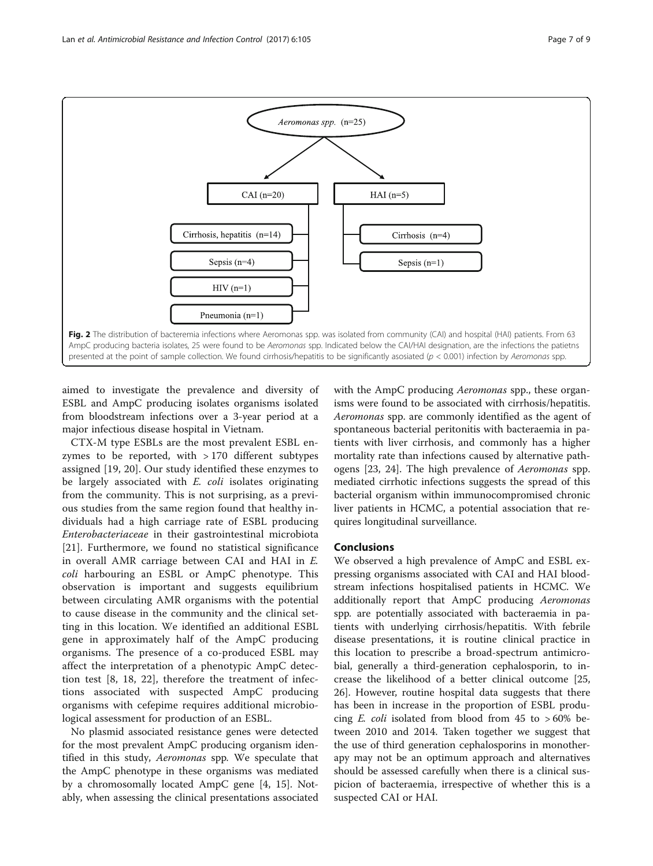<span id="page-6-0"></span>

aimed to investigate the prevalence and diversity of ESBL and AmpC producing isolates organisms isolated from bloodstream infections over a 3-year period at a major infectious disease hospital in Vietnam.

CTX-M type ESBLs are the most prevalent ESBL enzymes to be reported, with  $>170$  different subtypes assigned [[19,](#page-7-0) [20](#page-8-0)]. Our study identified these enzymes to be largely associated with *E. coli* isolates originating from the community. This is not surprising, as a previous studies from the same region found that healthy individuals had a high carriage rate of ESBL producing Enterobacteriaceae in their gastrointestinal microbiota [[21\]](#page-8-0). Furthermore, we found no statistical significance in overall AMR carriage between CAI and HAI in E. coli harbouring an ESBL or AmpC phenotype. This observation is important and suggests equilibrium between circulating AMR organisms with the potential to cause disease in the community and the clinical setting in this location. We identified an additional ESBL gene in approximately half of the AmpC producing organisms. The presence of a co-produced ESBL may affect the interpretation of a phenotypic AmpC detection test [\[8](#page-7-0), [18](#page-7-0), [22\]](#page-8-0), therefore the treatment of infections associated with suspected AmpC producing organisms with cefepime requires additional microbiological assessment for production of an ESBL.

No plasmid associated resistance genes were detected for the most prevalent AmpC producing organism identified in this study, Aeromonas spp. We speculate that the AmpC phenotype in these organisms was mediated by a chromosomally located AmpC gene [[4, 15](#page-7-0)]. Notably, when assessing the clinical presentations associated

with the AmpC producing Aeromonas spp., these organisms were found to be associated with cirrhosis/hepatitis. Aeromonas spp. are commonly identified as the agent of spontaneous bacterial peritonitis with bacteraemia in patients with liver cirrhosis, and commonly has a higher mortality rate than infections caused by alternative pathogens [\[23](#page-8-0), [24](#page-8-0)]. The high prevalence of Aeromonas spp. mediated cirrhotic infections suggests the spread of this bacterial organism within immunocompromised chronic liver patients in HCMC, a potential association that requires longitudinal surveillance.

## Conclusions

We observed a high prevalence of AmpC and ESBL expressing organisms associated with CAI and HAI bloodstream infections hospitalised patients in HCMC. We additionally report that AmpC producing Aeromonas spp. are potentially associated with bacteraemia in patients with underlying cirrhosis/hepatitis. With febrile disease presentations, it is routine clinical practice in this location to prescribe a broad-spectrum antimicrobial, generally a third-generation cephalosporin, to increase the likelihood of a better clinical outcome [[25](#page-8-0), [26\]](#page-8-0). However, routine hospital data suggests that there has been in increase in the proportion of ESBL producing *E. coli* isolated from blood from 45 to  $>60\%$  between 2010 and 2014. Taken together we suggest that the use of third generation cephalosporins in monotherapy may not be an optimum approach and alternatives should be assessed carefully when there is a clinical suspicion of bacteraemia, irrespective of whether this is a suspected CAI or HAI.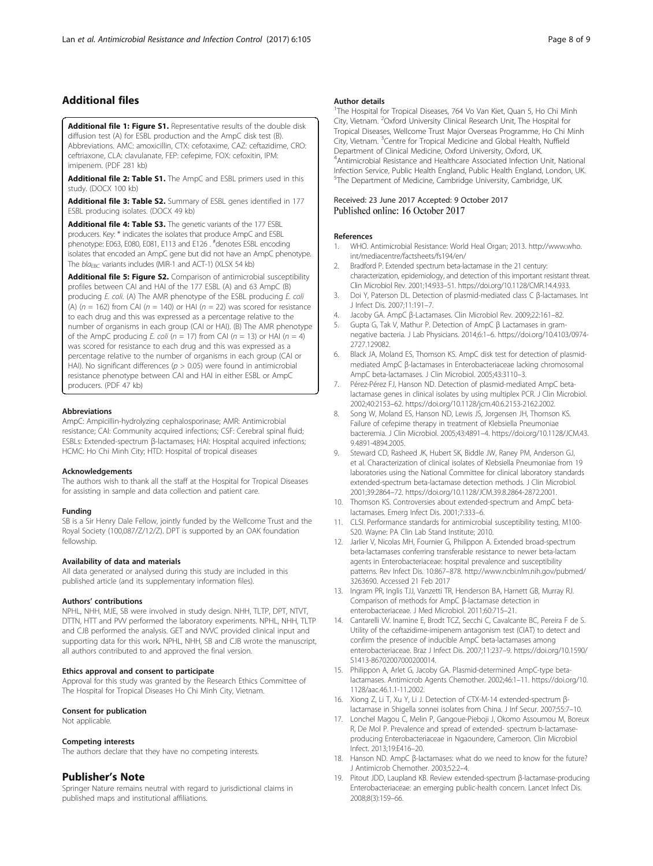# <span id="page-7-0"></span>Additional files

[Additional file 1: Figure S1.](dx.doi.org/10.1186/s13756-017-0265-1) Representative results of the double disk diffusion test (A) for ESBL production and the AmpC disk test (B). Abbreviations. AMC: amoxicillin, CTX: cefotaxime, CAZ: ceftazidime, CRO: ceftriaxone, CLA: clavulanate, FEP: cefepime, FOX: cefoxitin, IPM: imipenem. (PDF 281 kb)

[Additional file 2: Table S1.](dx.doi.org/10.1186/s13756-017-0265-1) The AmpC and ESBL primers used in this study. (DOCX 100 kb)

[Additional file 3: Table S2.](dx.doi.org/10.1186/s13756-017-0265-1) Summary of ESBL genes identified in 177 ESBL producing isolates. (DOCX 49 kb)

[Additional file 4: Table S3.](dx.doi.org/10.1186/s13756-017-0265-1) The genetic variants of the 177 ESBL producers. Key: \* indicates the isolates that produce AmpC and ESBL .<br>phenotype: E063, E080, E081, E113 and E126 . #denotes ESBL encoding isolates that encoded an AmpC gene but did not have an AmpC phenotype. The  $bla_{EBC}$  variants includes (MIR-1 and ACT-1) (XLSX 54 kb)

[Additional file 5: Figure S2.](dx.doi.org/10.1186/s13756-017-0265-1) Comparison of antimicrobial susceptibility profiles between CAI and HAI of the 177 ESBL (A) and 63 AmpC (B) producing E. coli. (A) The AMR phenotype of the ESBL producing E. coli (A) ( $n = 162$ ) from CAI ( $n = 140$ ) or HAI ( $n = 22$ ) was scored for resistance to each drug and this was expressed as a percentage relative to the number of organisms in each group (CAI or HAI). (B) The AMR phenotype of the AmpC producing E. coli ( $n = 17$ ) from CAI ( $n = 13$ ) or HAI ( $n = 4$ ) was scored for resistance to each drug and this was expressed as a percentage relative to the number of organisms in each group (CAI or HAI). No significant differences ( $p > 0.05$ ) were found in antimicrobial resistance phenotype between CAI and HAI in either ESBL or AmpC producers. (PDF 47 kb)

## Abbreviations

AmpC: Ampicillin-hydrolyzing cephalosporinase; AMR: Antimicrobial resistance; CAI: Community acquired infections; CSF: Cerebral spinal fluid; ESBLs: Extended-spectrum β-lactamases; HAI: Hospital acquired infections; HCMC: Ho Chi Minh City; HTD: Hospital of tropical diseases

## Acknowledgements

The authors wish to thank all the staff at the Hospital for Tropical Diseases for assisting in sample and data collection and patient care.

## Funding

SB is a Sir Henry Dale Fellow, jointly funded by the Wellcome Trust and the Royal Society (100,087/Z/12/Z). DPT is supported by an OAK foundation fellowship.

### Availability of data and materials

All data generated or analysed during this study are included in this published article (and its supplementary information files).

## Authors' contributions

NPHL, NHH, MJE, SB were involved in study design. NHH, TLTP, DPT, NTVT, DTTN, HTT and PVV performed the laboratory experiments. NPHL, NHH, TLTP and CJB performed the analysis. GET and NVVC provided clinical input and supporting data for this work. NPHL, NHH, SB and CJB wrote the manuscript, all authors contributed to and approved the final version.

#### Ethics approval and consent to participate

Approval for this study was granted by the Research Ethics Committee of The Hospital for Tropical Diseases Ho Chi Minh City, Vietnam.

#### Consent for publication

Not applicable.

#### Competing interests

The authors declare that they have no competing interests.

## Publisher's Note

Springer Nature remains neutral with regard to jurisdictional claims in published maps and institutional affiliations.

## Author details

<sup>1</sup>The Hospital for Tropical Diseases, 764 Vo Van Kiet, Quan 5, Ho Chi Minh City, Vietnam. <sup>2</sup>Oxford University Clinical Research Unit, The Hospital for Tropical Diseases, Wellcome Trust Major Overseas Programme, Ho Chi Minh City, Vietnam. <sup>3</sup>Centre for Tropical Medicine and Global Health, Nuffield Department of Clinical Medicine, Oxford University, Oxford, UK. 4 Antimicrobial Resistance and Healthcare Associated Infection Unit, National Infection Service, Public Health England, Public Health England, London, UK. 5 The Department of Medicine, Cambridge University, Cambridge, UK.

## Received: 23 June 2017 Accepted: 9 October 2017 Published online: 16 October 2017

## References

- 1. WHO. Antimicrobial Resistance: World Heal Organ; 2013. [http://www.who.](http://www.who.int/mediacentre/factsheets/fs194/en) [int/mediacentre/factsheets/fs194/en/](http://www.who.int/mediacentre/factsheets/fs194/en)
- 2. Bradford P. Extended spectrum beta-lactamase in the 21 century: characterization, epidemiology, and detection of this important resistant threat. Clin Microbiol Rev. 2001;14:933–51. [https://doi.org/10.1128/CMR.14.4.933.](http://dx.doi.org/10.1128/CMR.14.4.933)
- 3. Doi Y, Paterson DL. Detection of plasmid-mediated class C β-lactamases. Int J Infect Dis. 2007;11:191–7.
- 4. Jacoby GA. AmpC β-Lactamases. Clin Microbiol Rev. 2009;22:161–82.
- 5. Gupta G, Tak V, Mathur P. Detection of AmpC β Lactamases in gramnegative bacteria. J Lab Physicians. 2014;6:1–6. [https://doi.org/10.4103/0974-](http://dx.doi.org/10.4103/0974-2727.129082) [2727.129082](http://dx.doi.org/10.4103/0974-2727.129082).
- 6. Black JA, Moland ES, Thomson KS. AmpC disk test for detection of plasmidmediated AmpC β-lactamases in Enterobacteriaceae lacking chromosomal AmpC beta-lactamases. J Clin Microbiol. 2005;43:3110–3.
- 7. Pérez-Pérez FJ, Hanson ND. Detection of plasmid-mediated AmpC betalactamase genes in clinical isolates by using multiplex PCR. J Clin Microbiol. 2002;40:2153–62. [https://doi.org/10.1128/jcm.40.6.2153-2162.2002.](http://dx.doi.org/10.1128/jcm.40.6.2153-2162.2002)
- 8. Song W, Moland ES, Hanson ND, Lewis JS, Jorgensen JH, Thomson KS. Failure of cefepime therapy in treatment of Klebsiella Pneumoniae bacteremia. J Clin Microbiol. 2005;43:4891–4. [https://doi.org/10.1128/JCM.43.](http://dx.doi.org/10.1128/JCM.43.9.4891-4894.2005) [9.4891-4894.2005.](http://dx.doi.org/10.1128/JCM.43.9.4891-4894.2005)
- 9. Steward CD, Rasheed JK, Hubert SK, Biddle JW, Raney PM, Anderson GJ, et al. Characterization of clinical isolates of Klebsiella Pneumoniae from 19 laboratories using the National Committee for clinical laboratory standards extended-spectrum beta-lactamase detection methods. J Clin Microbiol. 2001;39:2864–72. [https://doi.org/10.1128/JCM.39.8.2864-2872.2001](http://dx.doi.org/10.1128/JCM.39.8.2864-2872.2001).
- 10. Thomson KS. Controversies about extended-spectrum and AmpC betalactamases. Emerg Infect Dis. 2001;7:333–6.
- 11. CLSI. Performance standards for antimicrobial susceptibility testing, M100- S20. Wayne: PA Clin Lab Stand Institute; 2010.
- 12. Jarlier V, Nicolas MH, Fournier G, Philippon A. Extended broad-spectrum beta-lactamases conferring transferable resistance to newer beta-lactam agents in Enterobacteriaceae: hospital prevalence and susceptibility patterns. Rev Infect Dis. 10:867–878. [http://www.ncbi.nlm.nih.gov/pubmed/](http://www.ncbi.nlm.nih.gov/pubmed/3263690) [3263690.](http://www.ncbi.nlm.nih.gov/pubmed/3263690) Accessed 21 Feb 2017
- 13. Ingram PR, Inglis TJJ, Vanzetti TR, Henderson BA, Harnett GB, Murray RJ. Comparison of methods for AmpC β-lactamase detection in enterobacteriaceae. J Med Microbiol. 2011;60:715–21.
- 14. Cantarelli VV. Inamine E, Brodt TCZ, Secchi C, Cavalcante BC, Pereira F de S. Utility of the ceftazidime-imipenem antagonism test (CIAT) to detect and confirm the presence of inducible AmpC beta-lactamases among enterobacteriaceae. Braz J Infect Dis. 2007;11:237–9. [https://doi.org/10.1590/](http://dx.doi.org/10.1590/S1413-86702007000200014) [S1413-86702007000200014.](http://dx.doi.org/10.1590/S1413-86702007000200014)
- 15. Philippon A, Arlet G, Jacoby GA. Plasmid-determined AmpC-type betalactamases. Antimicrob Agents Chemother. 2002;46:1–11. [https://doi.org/10.](http://dx.doi.org/10.1128/aac.46.1.1-11.2002) [1128/aac.46.1.1-11.2002](http://dx.doi.org/10.1128/aac.46.1.1-11.2002).
- 16. Xiong Z, Li T, Xu Y, Li J. Detection of CTX-M-14 extended-spectrum βlactamase in Shigella sonnei isolates from China. J Inf Secur. 2007;55:7–10.
- 17. Lonchel Magou C, Melin P, Gangoue-Pieboji J, Okomo Assoumou M, Boreux R, De Mol P. Prevalence and spread of extended- spectrum b-lactamaseproducing Enterobacteriaceae in Ngaoundere, Cameroon. Clin Microbiol Infect. 2013;19:E416–20.
- 18. Hanson ND. AmpC β-lactamases: what do we need to know for the future? J Antimicrob Chemother. 2003;52:2–4.
- 19. Pitout JDD, Laupland KB. Review extended-spectrum β-lactamase-producing Enterobacteriaceae: an emerging public-health concern. Lancet Infect Dis. 2008;8(3):159–66.